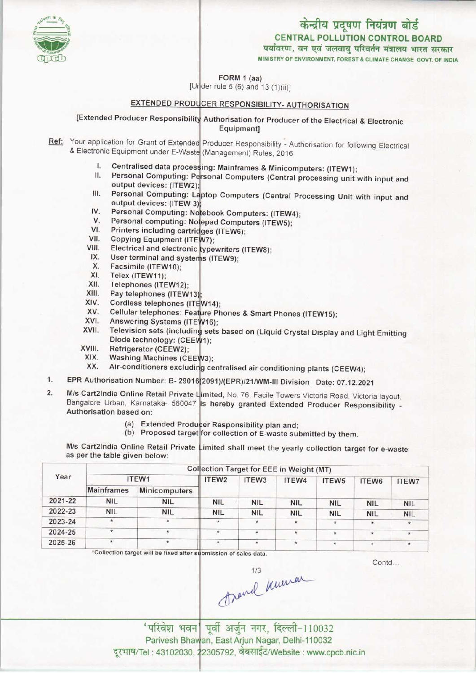

MINISTRY OF ENVIRONMENT, FOREST & CLIMATE CHANGE GOVT. OF INDIA

FORM 1 (aa)

 $[Under rule 5 (6) and 13 (1)(ii)]$ 

## EXTENDED PRODUCER RESPONSIBILITY- AUTHORISATION

[Extended Producer Responsibility Authorisation for Producer of the Electrical & Electronic Equipment]

- Ref: Your application for Grant of Extended Producer Responsibility Authorisation for following Electrical & Electronic Equipment under E-Waste (Management) Rules, 2016<br> **I.** Centralised data processing: Mainframes & Minico
	- Centralised data processing: Mainframes & Minicomputers: (ITEW1);
	- I. Centralised data processing: Mainframes & Minicomputers: (ITEW1);<br>II. Personal Computing: Personal Computers (Central processing unit with input and output devices: (ITEW2)
	- III. Personal Computing: Laptop Computers (Central Processing Unit with input and Shi. Personal Computing: Laptop Computers (Central Protection Computing: 1997);<br>IV. Personal Computing: Notebook Computers: (ITEW4); output devices: (ITEW 3);
	- output devices: (ITEW 3<br>V. Personal Computing: No<br>V. Personal computing: No
	- Personal computing: Notepad Computers (ITEW5);
	- VI. Printers including cartridges (ITEW6); V. Personal computing: Notepa<br>
	VI. Printers including cartridges<br>
	VII. Copying Equipment (ITEW7)<br>
	VIII. Flectrical and electronic tups
	- VI. Printers including cartri<br>VIII. Copying Equipment (ITE<br>VIII. Electrical and electronic
	- ypewriters(ITEW8);
	- (ITEW9); III. Copying Equipment (ITE<br>III. Electrical and electronic<br>IX. User terminal and syster w. Electrical and electrical<br>X. Ser terminal and s<br>X. Facsimile (ITEW10);<br>C. Telex (ITEW11);
	- X. Facsimile (ITEW10);<br>XI. Telex (ITEW11);<br>XII. Telephones (ITEW12
	-
	- X. Facsimile (ITEW10);<br>XI. Telex (ITEW11);<br>XII. Telephones (ITEW12);<br>XIII. Pay telephones (ITEW
	- XI. Felex (ITEW11);<br>XII. Telephones (ITEW12);<br>XIII. Pay telephones (ITEW1<br>XIV. Cordless telephones (I
	- XII. Felephones (ITEW12);<br>XIII. Pay telephones (ITEW13);<br>XIV. Cordless telephones (ITEW14);<br>XV. Collular telephones: Estima Di
	- XIII. Pay telephones (ITEW13);<br>XIV. Cordless telephones (ITEW14);<br>XV. Cellular telephones: Feature Phones & Smart Phones (ITEW15); XIV. Cordiess telephones (ITI<br>XV. Cellular telephones: Fea<br>XVI. Answering Systems (ITE<br>XVII. Television este (includio
	- Answering Systems (ITEW16);
	- XV. Cellular telephones: Feature Phones & Smart Phones (ITEW15);<br>XVI. Answering Systems (ITEW16);<br>XVII. Television sets (including sets based on (Liquid Crystal Display and Light Emitting Diode technology: (CEEW1);
	- XVIII. Refrigerator (CEEW2);<br>XIX. Washing Machines (CF
	- XIX. Washing Machines (CEEW3);<br>XX. Air-conditioners excluding ce
	- xx. Air-conditioners excluding centralised air conditioning plants (CEEW4);
- XIX. Washing Machines (CEEW3);<br>2091)/(EPR)/21/WM-III Division Date: 07.12.2021<br>2091)/(EPR)/21/WM-III Division Date: 07.12.2021
- I. EPR Authorisation Number: B- 29016 2091)/(EPR)/21/WM-III Division Date: 07.12.2021<br>2. M/s Cart2India Online Retail Private Limited, No. 76, Facile Towers Victoria Road, Victoria layout Bangalore Urban, Karnataka- 560047 is hereby granted Extended Producer Responsibility -Authorisation based on:
	- ised on:<br>(a) Extended Producer Responsibility plan and;
	- (a) Extended Producer Responsibility plan and;<br>(b) Proposed target for collection of E-waste submitted by them.

M/s Cart2India Online Retail Private Limited shall meet the yearly collection target for e-waste as per the table given below:

|                   |               | ITEW <sub>2</sub> | ITEW <sub>3</sub> | ITEW4      | ITEW <sub>5</sub> | ITEW6                                    | <b>ITEW7</b> |
|-------------------|---------------|-------------------|-------------------|------------|-------------------|------------------------------------------|--------------|
| <b>Mainframes</b> | Minicomputers |                   |                   |            |                   |                                          |              |
| <b>NIL</b>        | <b>NIL</b>    | <b>NIL</b>        | <b>NIL</b>        | <b>NIL</b> | <b>NIL</b>        | <b>NIL</b>                               | <b>NIL</b>   |
| <b>NIL</b>        | <b>NIL</b>    | <b>NIL</b>        | <b>NIL</b>        | <b>NIL</b> | <b>NIL</b>        | <b>NIL</b>                               | <b>NIL</b>   |
| $\star$           | $\star$       | $\star$           | $\star$           | *          | ★                 | $\star$                                  |              |
| $\star$           | $\pmb{\ast}$  | $\star$           | *                 |            | $\star$           | $\star$                                  | ÷.           |
| $\star$           | $\star$       | $\star$           | $\star$           | ÷          | $\star$           | $\star$                                  |              |
|                   |               | ITEW1             |                   |            |                   | Collection Target for EEE in Weight (MT) |              |

\*Collection target will be fixed after submission of sales data.

Contd

'परिवेश भवन पूर्वी अर्जुन नगर, दिल्ली-110032 Parivesh Bhawan, East Arjun Nagar, Delhi-110032<br>।I : 43102030, 22305792, वेबसाईट/Website : www.cpcb.nic.in दूरभाष/Tel: 43102030, 22305792, वेबसाईट/Website: www.cpcb.nic.in

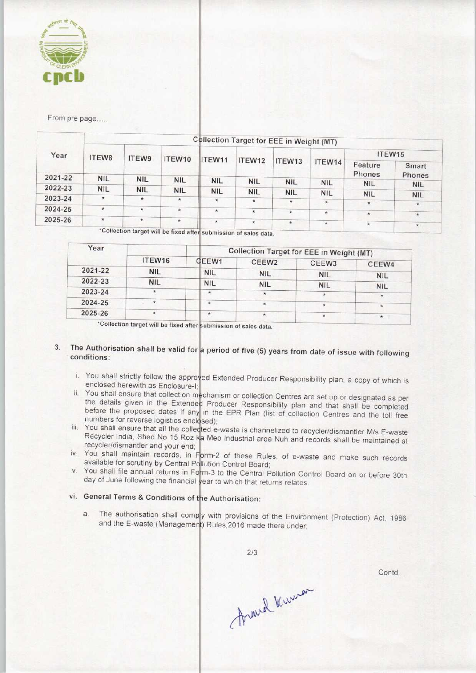

From pre page.....

|         | <b>Collection Target for EEE in Weight (MT)</b> |                                                                                                                                                                                                                                                                                                                                                                                                                                                                                                         |                                                             |  |  |         |         |                 |            |  |  |
|---------|-------------------------------------------------|---------------------------------------------------------------------------------------------------------------------------------------------------------------------------------------------------------------------------------------------------------------------------------------------------------------------------------------------------------------------------------------------------------------------------------------------------------------------------------------------------------|-------------------------------------------------------------|--|--|---------|---------|-----------------|------------|--|--|
| Year    | <b>ITEW8</b>                                    | ITEW15<br>ITEW9<br>ITEW10<br>ITEW11<br>ITEW12<br>ITEW13<br>ITEW14<br>Feature<br>Phones<br><b>NIL</b><br><b>NIL</b><br><b>NIL</b><br><b>NIL</b><br><b>NIL</b><br><b>NIL</b><br><b>NIL</b><br><b>NIL</b><br><b>NIL</b><br><b>NIL</b><br><b>NIL</b><br><b>NIL</b><br><b>NIL</b><br><b>NIL</b><br>$\star$<br>$^{\ast}$<br>$\star$<br>黄<br>$\star$<br>$\star$<br>$\star$<br>$\star$<br>$\mathbf{\hat{x}}$<br>$\star$<br>$\star$<br>$\star$<br>$\star$<br>$\star$<br>$\star$<br>$\star$<br>$\star$<br>$\star$ |                                                             |  |  |         |         |                 |            |  |  |
|         |                                                 |                                                                                                                                                                                                                                                                                                                                                                                                                                                                                                         |                                                             |  |  |         |         | Smart<br>Phones |            |  |  |
| 2021-22 | <b>NIL</b>                                      |                                                                                                                                                                                                                                                                                                                                                                                                                                                                                                         |                                                             |  |  |         |         |                 | <b>NIL</b> |  |  |
| 2022-23 | <b>NIL</b>                                      |                                                                                                                                                                                                                                                                                                                                                                                                                                                                                                         |                                                             |  |  |         |         |                 |            |  |  |
| 2023-24 | $*$                                             |                                                                                                                                                                                                                                                                                                                                                                                                                                                                                                         |                                                             |  |  |         |         |                 | <b>NIL</b> |  |  |
|         |                                                 |                                                                                                                                                                                                                                                                                                                                                                                                                                                                                                         |                                                             |  |  |         |         |                 | $\star$    |  |  |
| 2024-25 | $\star$                                         |                                                                                                                                                                                                                                                                                                                                                                                                                                                                                                         |                                                             |  |  |         |         |                 | $\star$    |  |  |
| 2025-26 | $\star$                                         |                                                                                                                                                                                                                                                                                                                                                                                                                                                                                                         |                                                             |  |  |         |         |                 |            |  |  |
|         |                                                 |                                                                                                                                                                                                                                                                                                                                                                                                                                                                                                         | $^{\circ}$ Colloction toward $\cdot$ If $\cdot$ F $\cdot$ F |  |  | $\star$ | $\star$ |                 | $\star$    |  |  |

'Collection target will be fixed after submission of sales data

|            |              | Collection Target for EEE in Weight (MT) |            |                          |  |  |  |
|------------|--------------|------------------------------------------|------------|--------------------------|--|--|--|
| ITEW16     | <b>GEEW1</b> | CEEW <sub>2</sub>                        | CEEW3      | CEEW4                    |  |  |  |
| <b>NIL</b> | <b>NIL</b>   | <b>NIL</b>                               |            | <b>NIL</b>               |  |  |  |
| <b>NIL</b> | <b>NIL</b>   |                                          |            | <b>NIL</b>               |  |  |  |
|            | $\star$      |                                          |            | $\star$                  |  |  |  |
|            | $\star$      |                                          |            | $\star$                  |  |  |  |
|            | $\star$      |                                          | *          | $\star$                  |  |  |  |
|            |              |                                          | <b>NIL</b> | <b>NIL</b><br><b>NIL</b> |  |  |  |

\*Collection target will be fixed after submission of sales data.

#### The Authorisation shall be valid for a period of five (5) years from date of issue with following  $3<sub>1</sub>$ conditions:

- i. You shall strictly follow the approved Extended Producer Responsibility plan, a copy of which is enclosed herewith as Enclosure-
- ii. You shall ensure that collection mechanism or collection Centres are set up or designated as per the details given in the Extended Producer Responsibility plan and that shall be completed before the proposed dates if any in the EPR Plan (list of collection Centres and the toll free numbers for reverse logistics enclosed);
- iii. You shall ensure that all the collected e-waste is channelized to recycler/dismantler M/s E-waste Recycler India, Shed No 15 Roz ka Meo Industrial area Nuh and records shall be maintained at recycler/dismantler and your en
- iv. You shall maintain records, in Form-2 of these Rules, of e-waste and make such records available for scrutiny by Central Pollution Control Board
- v. You shall file annual returns in Form-3 to the Central Pollution Control Board on or before 30th day of June following the financial year to which that returns relates.

# vi. General Terms & Conditions of the Authorisation:

a. The authorisation shall compy with provisions of the Environment (Protection) Act, 1986 and the E-waste (Management) Rules, 2016 made there under

 $2/3$ 

Contd...

Arand Kuman